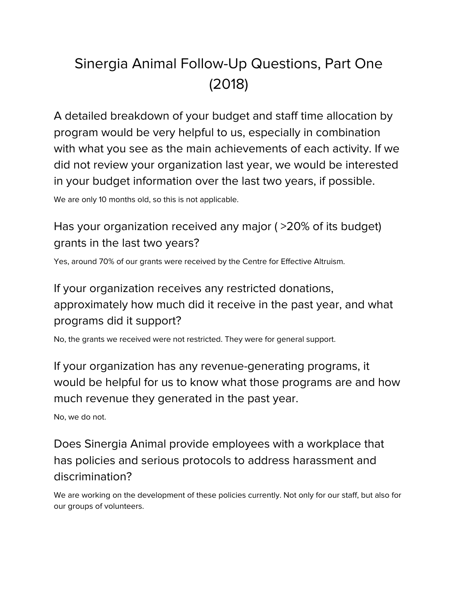## Sinergia Animal Follow-Up Questions, Part One (2018)

A detailed breakdown of your budget and staff time allocation by program would be very helpful to us, especially in combination with what you see as the main achievements of each activity. If we did not review your organization last year, we would be interested in your budget information over the last two years, if possible.

We are only 10 months old, so this is not applicable.

## Has your organization received any major ( >20% of its budget) grants in the last two years?

Yes, around 70% of our grants were received by the Centre for Effective Altruism.

## If your organization receives any restricted donations, approximately how much did it receive in the past year, and what programs did it support?

No, the grants we received were not restricted. They were for general support.

If your organization has any revenue-generating programs, it would be helpful for us to know what those programs are and how much revenue they generated in the past year.

No, we do not.

Does Sinergia Animal provide employees with a workplace that has policies and serious protocols to address harassment and discrimination?

We are working on the development of these policies currently. Not only for our staff, but also for our groups of volunteers.